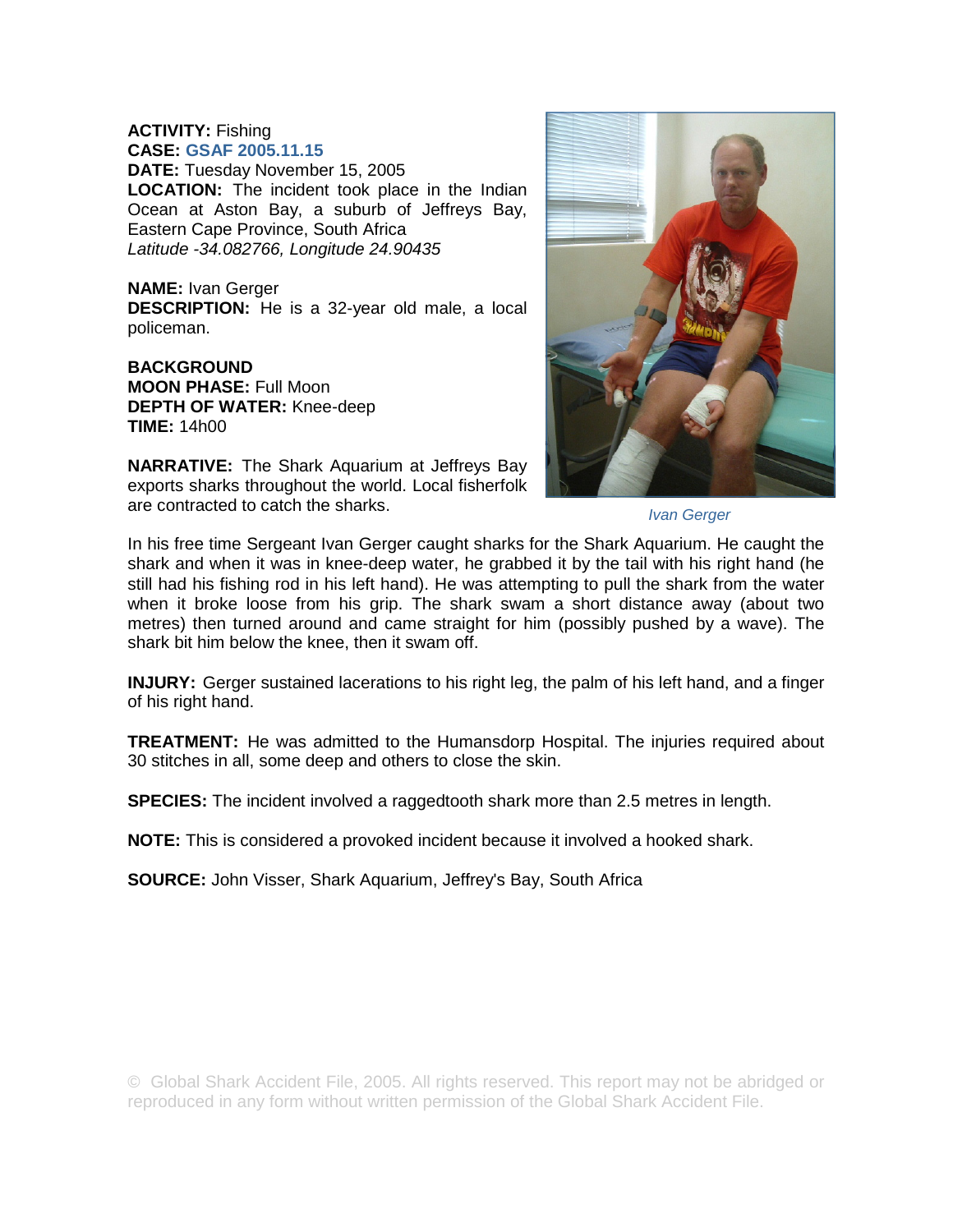## **ACTIVITY:** Fishing **CASE: GSAF 2005.11.15**

**DATE:** Tuesday November 15, 2005 **LOCATION:** The incident took place in the Indian Ocean at Aston Bay, a suburb of Jeffreys Bay, Eastern Cape Province, South Africa *Latitude -34.082766, Longitude 24.90435* 

**NAME:** Ivan Gerger **DESCRIPTION:** He is a 32-year old male, a local policeman.

**BACKGROUND MOON PHASE:** Full Moon **DEPTH OF WATER:** Knee-deep **TIME:** 14h00

**NARRATIVE:** The Shark Aquarium at Jeffreys Bay exports sharks throughout the world. Local fisherfolk are contracted to catch the sharks.



*Ivan Gerger* 

In his free time Sergeant Ivan Gerger caught sharks for the Shark Aquarium. He caught the shark and when it was in knee-deep water, he grabbed it by the tail with his right hand (he still had his fishing rod in his left hand). He was attempting to pull the shark from the water when it broke loose from his grip. The shark swam a short distance away (about two metres) then turned around and came straight for him (possibly pushed by a wave). The shark bit him below the knee, then it swam off.

**INJURY:** Gerger sustained lacerations to his right leg, the palm of his left hand, and a finger of his right hand.

**TREATMENT:** He was admitted to the Humansdorp Hospital. The injuries required about 30 stitches in all, some deep and others to close the skin.

**SPECIES:** The incident involved a raggedtooth shark more than 2.5 metres in length.

**NOTE:** This is considered a provoked incident because it involved a hooked shark.

**SOURCE:** John Visser, Shark Aquarium, Jeffrey's Bay, South Africa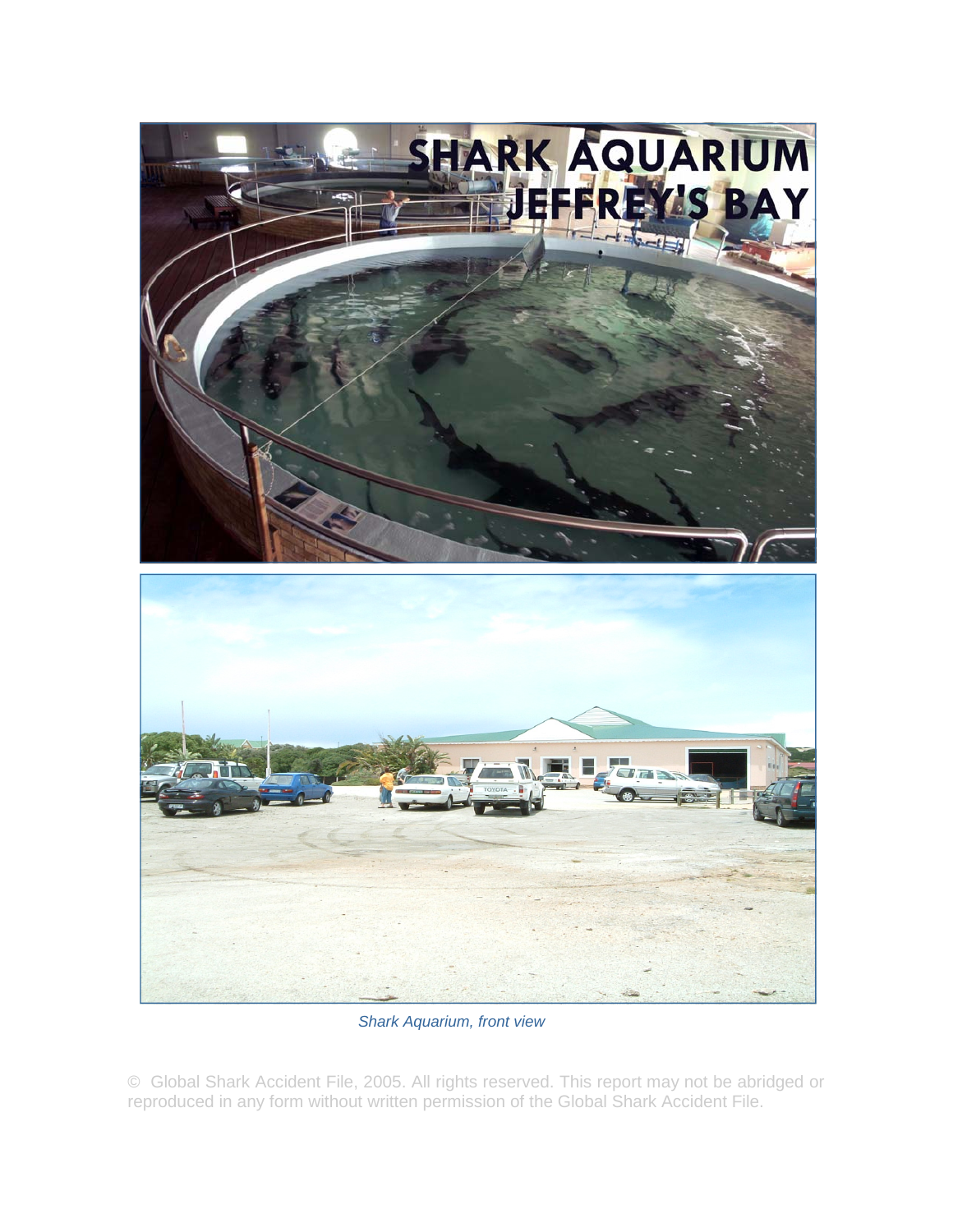

*Shark Aquarium, front view* 

© Global Shark Accident File, 2005. All rights reserved. This report may not be abridged or reproduced in any form without written permission of the Global Shark Accident File.